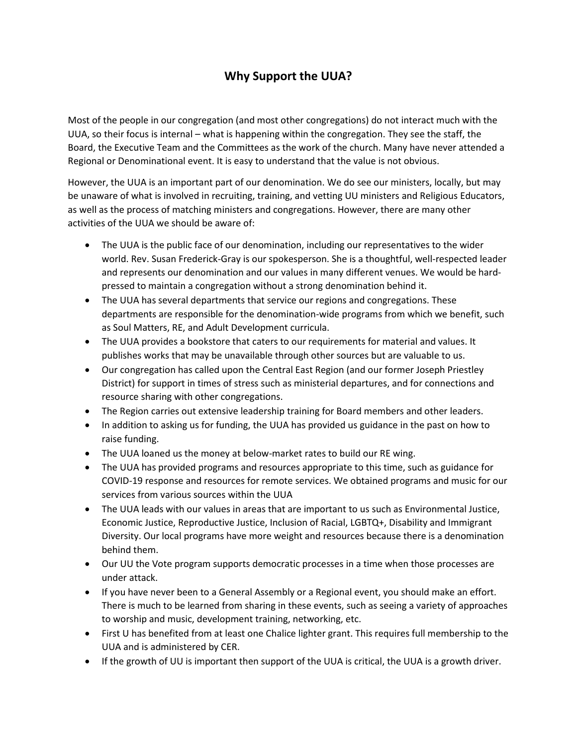## **Why Support the UUA?**

Most of the people in our congregation (and most other congregations) do not interact much with the UUA, so their focus is internal – what is happening within the congregation. They see the staff, the Board, the Executive Team and the Committees as the work of the church. Many have never attended a Regional or Denominational event. It is easy to understand that the value is not obvious.

However, the UUA is an important part of our denomination. We do see our ministers, locally, but may be unaware of what is involved in recruiting, training, and vetting UU ministers and Religious Educators, as well as the process of matching ministers and congregations. However, there are many other activities of the UUA we should be aware of:

- The UUA is the public face of our denomination, including our representatives to the wider world. Rev. Susan Frederick-Gray is our spokesperson. She is a thoughtful, well-respected leader and represents our denomination and our values in many different venues. We would be hardpressed to maintain a congregation without a strong denomination behind it.
- The UUA has several departments that service our regions and congregations. These departments are responsible for the denomination-wide programs from which we benefit, such as Soul Matters, RE, and Adult Development curricula.
- The UUA provides a bookstore that caters to our requirements for material and values. It publishes works that may be unavailable through other sources but are valuable to us.
- Our congregation has called upon the Central East Region (and our former Joseph Priestley District) for support in times of stress such as ministerial departures, and for connections and resource sharing with other congregations.
- The Region carries out extensive leadership training for Board members and other leaders.
- In addition to asking us for funding, the UUA has provided us guidance in the past on how to raise funding.
- The UUA loaned us the money at below-market rates to build our RE wing.
- The UUA has provided programs and resources appropriate to this time, such as guidance for COVID-19 response and resources for remote services. We obtained programs and music for our services from various sources within the UUA
- The UUA leads with our values in areas that are important to us such as Environmental Justice, Economic Justice, Reproductive Justice, Inclusion of Racial, LGBTQ+, Disability and Immigrant Diversity. Our local programs have more weight and resources because there is a denomination behind them.
- Our UU the Vote program supports democratic processes in a time when those processes are under attack.
- If you have never been to a General Assembly or a Regional event, you should make an effort. There is much to be learned from sharing in these events, such as seeing a variety of approaches to worship and music, development training, networking, etc.
- First U has benefited from at least one Chalice lighter grant. This requires full membership to the UUA and is administered by CER.
- If the growth of UU is important then support of the UUA is critical, the UUA is a growth driver.